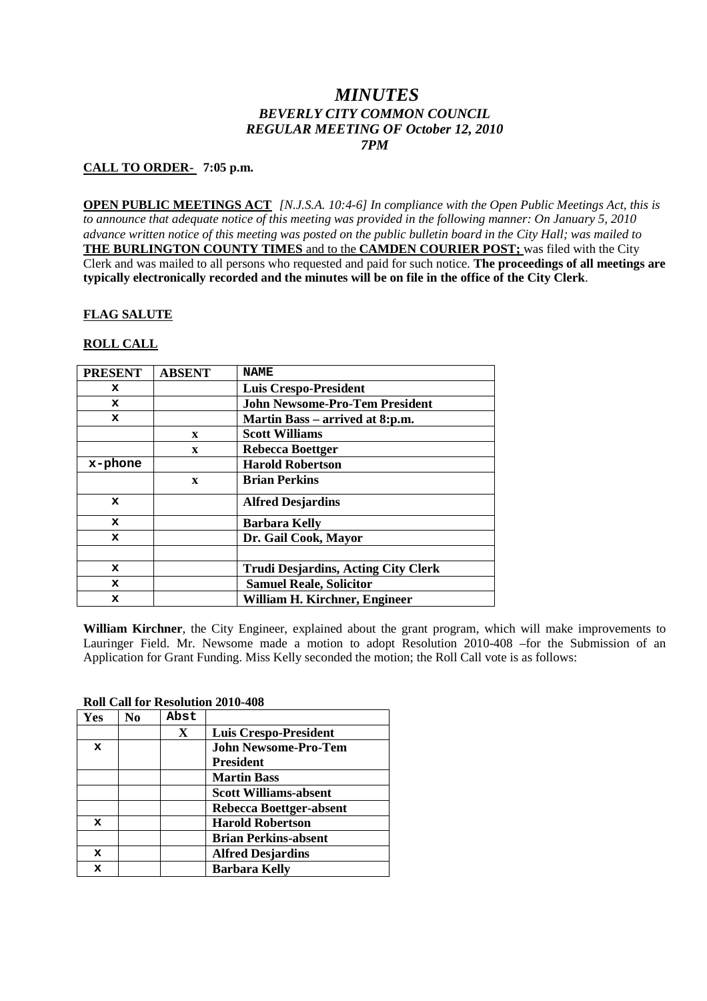# *MINUTES BEVERLY CITY COMMON COUNCIL REGULAR MEETING OF October 12, 2010 7PM*

# **CALL TO ORDER- 7:05 p.m.**

**OPEN PUBLIC MEETINGS ACT** *[N.J.S.A. 10:4-6] In compliance with the Open Public Meetings Act, this is to announce that adequate notice of this meeting was provided in the following manner: On January 5, 2010 advance written notice of this meeting was posted on the public bulletin board in the City Hall; was mailed to* **THE BURLINGTON COUNTY TIMES** and to the **CAMDEN COURIER POST;** was filed with the City Clerk and was mailed to all persons who requested and paid for such notice. **The proceedings of all meetings are typically electronically recorded and the minutes will be on file in the office of the City Clerk**.

# **FLAG SALUTE**

# **ROLL CALL**

| <b>PRESENT</b> | <b>ABSENT</b> | <b>NAME</b>                                |
|----------------|---------------|--------------------------------------------|
| x              |               | <b>Luis Crespo-President</b>               |
| x              |               | <b>John Newsome-Pro-Tem President</b>      |
| $\mathbf x$    |               | Martin Bass – arrived at 8:p.m.            |
|                | $\mathbf x$   | <b>Scott Williams</b>                      |
|                | $\mathbf{x}$  | <b>Rebecca Boettger</b>                    |
| x-phone        |               | <b>Harold Robertson</b>                    |
|                | $\mathbf{x}$  | <b>Brian Perkins</b>                       |
| $\mathbf x$    |               | <b>Alfred Desjardins</b>                   |
| $\mathbf x$    |               | <b>Barbara Kelly</b>                       |
| x              |               | Dr. Gail Cook, Mayor                       |
|                |               |                                            |
| x              |               | <b>Trudi Desjardins, Acting City Clerk</b> |
| x              |               | <b>Samuel Reale, Solicitor</b>             |
| x              |               | William H. Kirchner, Engineer              |

**William Kirchner**, the City Engineer, explained about the grant program, which will make improvements to Lauringer Field. Mr. Newsome made a motion to adopt Resolution 2010-408 –for the Submission of an Application for Grant Funding. Miss Kelly seconded the motion; the Roll Call vote is as follows:

### **Roll Call for Resolution 2010-408**

| Yes         | No | Abst         |                              |
|-------------|----|--------------|------------------------------|
|             |    | $\mathbf{X}$ | <b>Luis Crespo-President</b> |
| $\mathbf x$ |    |              | <b>John Newsome-Pro-Tem</b>  |
|             |    |              | <b>President</b>             |
|             |    |              | <b>Martin Bass</b>           |
|             |    |              | <b>Scott Williams-absent</b> |
|             |    |              | Rebecca Boettger-absent      |
| $\mathbf x$ |    |              | <b>Harold Robertson</b>      |
|             |    |              | <b>Brian Perkins-absent</b>  |
| $\mathbf x$ |    |              | <b>Alfred Desjardins</b>     |
| x           |    |              | <b>Barbara Kelly</b>         |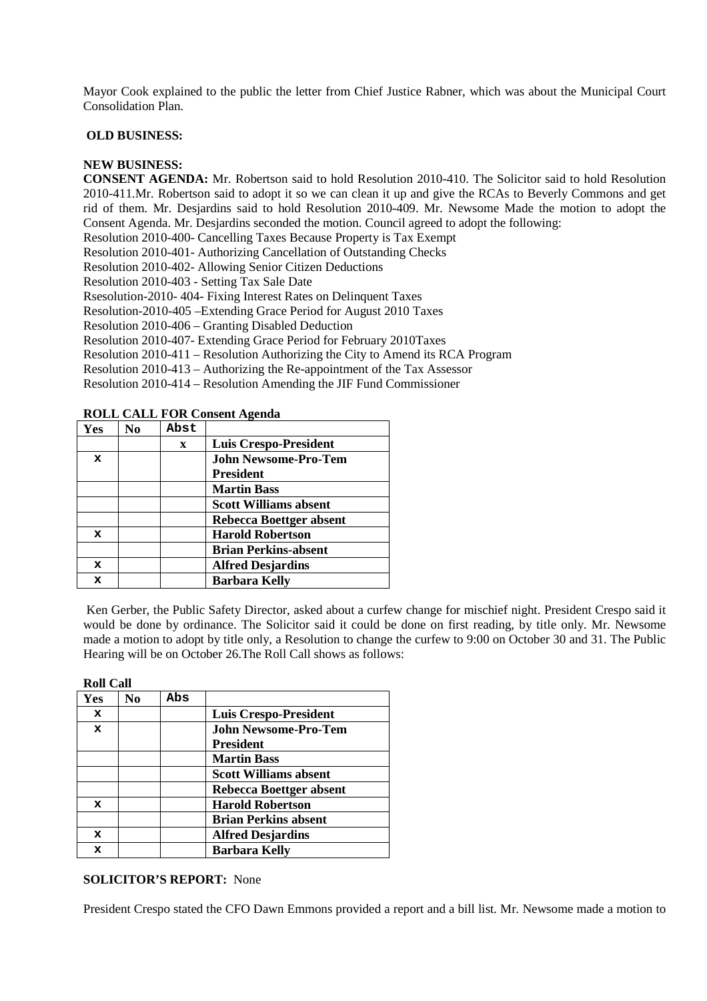Mayor Cook explained to the public the letter from Chief Justice Rabner, which was about the Municipal Court Consolidation Plan.

#### **OLD BUSINESS:**

### **NEW BUSINESS:**

**CONSENT AGENDA:** Mr. Robertson said to hold Resolution 2010-410. The Solicitor said to hold Resolution 2010-411.Mr. Robertson said to adopt it so we can clean it up and give the RCAs to Beverly Commons and get rid of them. Mr. Desjardins said to hold Resolution 2010-409. Mr. Newsome Made the motion to adopt the Consent Agenda. Mr. Desjardins seconded the motion. Council agreed to adopt the following:

Resolution 2010-400- Cancelling Taxes Because Property is Tax Exempt

Resolution 2010-401- Authorizing Cancellation of Outstanding Checks

Resolution 2010-402- Allowing Senior Citizen Deductions

Resolution 2010-403 - Setting Tax Sale Date

Rsesolution-2010- 404- Fixing Interest Rates on Delinquent Taxes

Resolution-2010-405 –Extending Grace Period for August 2010 Taxes

Resolution 2010-406 – Granting Disabled Deduction

Resolution 2010-407- Extending Grace Period for February 2010Taxes

Resolution 2010-411 – Resolution Authorizing the City to Amend its RCA Program

Resolution 2010-413 – Authorizing the Re-appointment of the Tax Assessor

Resolution 2010-414 – Resolution Amending the JIF Fund Commissioner

### **ROLL CALL FOR Consent Agenda**

| Yes         | No | Abst         |                              |
|-------------|----|--------------|------------------------------|
|             |    | $\mathbf{x}$ | <b>Luis Crespo-President</b> |
| x           |    |              | <b>John Newsome-Pro-Tem</b>  |
|             |    |              | <b>President</b>             |
|             |    |              | <b>Martin Bass</b>           |
|             |    |              | <b>Scott Williams absent</b> |
|             |    |              | Rebecca Boettger absent      |
| $\mathbf x$ |    |              | <b>Harold Robertson</b>      |
|             |    |              | <b>Brian Perkins-absent</b>  |
| $\mathbf x$ |    |              | <b>Alfred Desjardins</b>     |
| x           |    |              | <b>Barbara Kelly</b>         |

Ken Gerber, the Public Safety Director, asked about a curfew change for mischief night. President Crespo said it would be done by ordinance. The Solicitor said it could be done on first reading, by title only. Mr. Newsome made a motion to adopt by title only, a Resolution to change the curfew to 9:00 on October 30 and 31. The Public Hearing will be on October 26.The Roll Call shows as follows:

| <b>Roll Call</b> |                |     |                              |  |
|------------------|----------------|-----|------------------------------|--|
| Yes              | N <sub>0</sub> | Abs |                              |  |
| $\mathbf x$      |                |     | <b>Luis Crespo-President</b> |  |
| $\mathbf x$      |                |     | John Newsome-Pro-Tem         |  |
|                  |                |     | <b>President</b>             |  |
|                  |                |     | <b>Martin Bass</b>           |  |
|                  |                |     | <b>Scott Williams absent</b> |  |
|                  |                |     | Rebecca Boettger absent      |  |
| x                |                |     | <b>Harold Robertson</b>      |  |
|                  |                |     | <b>Brian Perkins absent</b>  |  |
| $\mathbf x$      |                |     | <b>Alfred Desjardins</b>     |  |
| x                |                |     | <b>Barbara Kelly</b>         |  |

# **SOLICITOR'S REPORT:** None

President Crespo stated the CFO Dawn Emmons provided a report and a bill list. Mr. Newsome made a motion to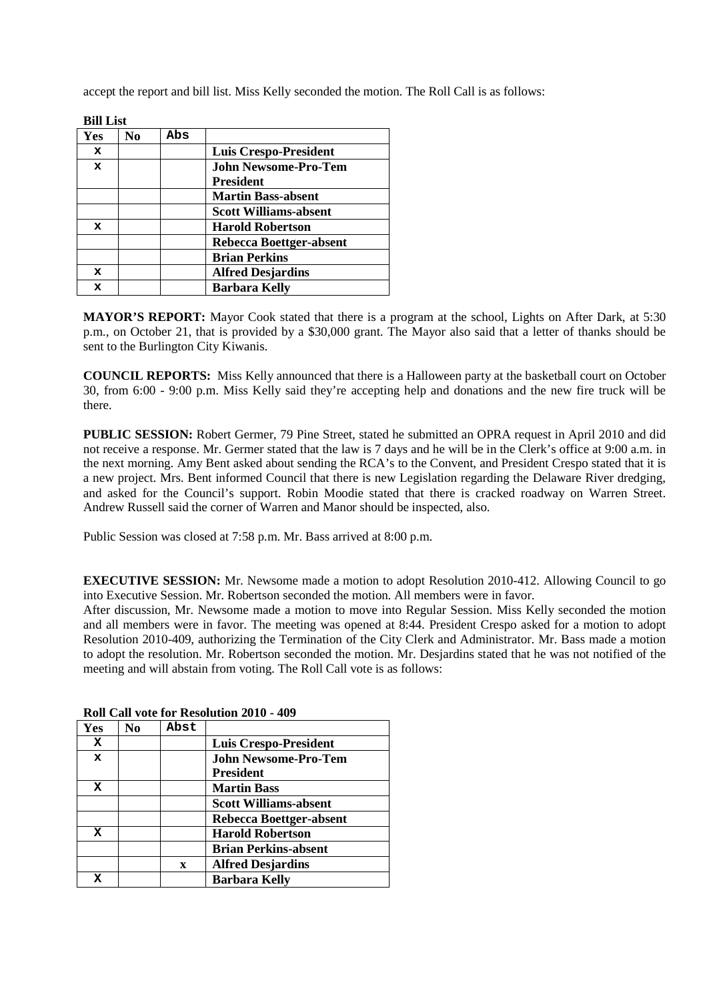accept the report and bill list. Miss Kelly seconded the motion. The Roll Call is as follows:

| BIII LISU   |    |     |                              |
|-------------|----|-----|------------------------------|
| Yes         | No | Abs |                              |
| $\mathbf x$ |    |     | <b>Luis Crespo-President</b> |
| $\mathbf x$ |    |     | <b>John Newsome-Pro-Tem</b>  |
|             |    |     | <b>President</b>             |
|             |    |     | <b>Martin Bass-absent</b>    |
|             |    |     | <b>Scott Williams-absent</b> |
| $\mathbf x$ |    |     | <b>Harold Robertson</b>      |
|             |    |     | Rebecca Boettger-absent      |
|             |    |     | <b>Brian Perkins</b>         |
| $\mathbf x$ |    |     | <b>Alfred Desjardins</b>     |
| x           |    |     | <b>Barbara Kelly</b>         |
|             |    |     |                              |

**Bill T** . .

**MAYOR'S REPORT:** Mayor Cook stated that there is a program at the school, Lights on After Dark, at 5:30 p.m., on October 21, that is provided by a \$30,000 grant. The Mayor also said that a letter of thanks should be sent to the Burlington City Kiwanis.

**COUNCIL REPORTS:** Miss Kelly announced that there is a Halloween party at the basketball court on October 30, from 6:00 - 9:00 p.m. Miss Kelly said they're accepting help and donations and the new fire truck will be there.

**PUBLIC SESSION:** Robert Germer, 79 Pine Street, stated he submitted an OPRA request in April 2010 and did not receive a response. Mr. Germer stated that the law is 7 days and he will be in the Clerk's office at 9:00 a.m. in the next morning. Amy Bent asked about sending the RCA's to the Convent, and President Crespo stated that it is a new project. Mrs. Bent informed Council that there is new Legislation regarding the Delaware River dredging, and asked for the Council's support. Robin Moodie stated that there is cracked roadway on Warren Street. Andrew Russell said the corner of Warren and Manor should be inspected, also.

Public Session was closed at 7:58 p.m. Mr. Bass arrived at 8:00 p.m.

**EXECUTIVE SESSION:** Mr. Newsome made a motion to adopt Resolution 2010-412. Allowing Council to go into Executive Session. Mr. Robertson seconded the motion. All members were in favor.

After discussion, Mr. Newsome made a motion to move into Regular Session. Miss Kelly seconded the motion and all members were in favor. The meeting was opened at 8:44. President Crespo asked for a motion to adopt Resolution 2010-409, authorizing the Termination of the City Clerk and Administrator. Mr. Bass made a motion to adopt the resolution. Mr. Robertson seconded the motion. Mr. Desjardins stated that he was not notified of the meeting and will abstain from voting. The Roll Call vote is as follows:

| Yes         | No | Abst         |                                                 |
|-------------|----|--------------|-------------------------------------------------|
| x           |    |              | <b>Luis Crespo-President</b>                    |
| $\mathbf x$ |    |              | <b>John Newsome-Pro-Tem</b><br><b>President</b> |
| x           |    |              | <b>Martin Bass</b>                              |
|             |    |              | <b>Scott Williams-absent</b>                    |
|             |    |              | Rebecca Boettger-absent                         |
| x           |    |              | <b>Harold Robertson</b>                         |
|             |    |              | <b>Brian Perkins-absent</b>                     |
|             |    | $\mathbf{x}$ | <b>Alfred Desjardins</b>                        |
| x           |    |              | <b>Barbara Kelly</b>                            |

**Roll Call vote for Resolution 2010 - 409**